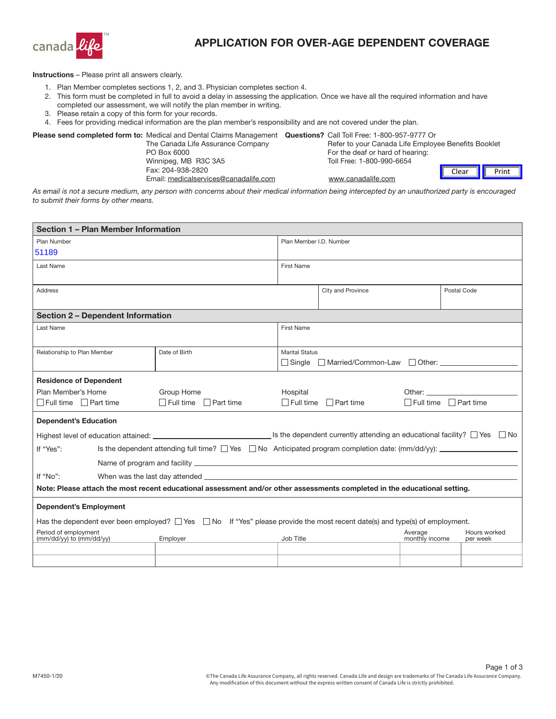

## APPLICATION FOR OVER-AGE DEPENDENT COVERAGE

Instructions – Please print all answers clearly.

- 1. Plan Member completes sections 1, 2, and 3. Physician completes section 4.
- 2. This form must be completed in full to avoid a delay in assessing the application. Once we have all the required information and have completed our assessment, we will notify the plan member in writing.
- 3. Please retain a copy of this form for your records.
- 4. Fees for providing medical information are the plan member's responsibility and are not covered under the plan.

Please send completed form to: Medical and Dental Claims Management Questions? Call Toll Free: 1-800-957-9777 Or

| The Canada Life Assurance Company     | Refer to your Canada Life Employee Benefits Booklet |       |       |
|---------------------------------------|-----------------------------------------------------|-------|-------|
| PO Box 6000                           | For the deaf or hard of hearing:                    |       |       |
| Winnipeg, MB R3C 3A5                  | Toll Free: 1-800-990-6654                           |       |       |
| Fax: 204-938-2820                     |                                                     | Clear | Print |
| Email: medicalservices@canadalife.com | www.canadalife.com                                  |       |       |
|                                       |                                                     |       |       |

*As email is not a secure medium, any person with concerns about their medical information being intercepted by an unauthorized party is encouraged to submit their forms by other means.*

| Section 1 - Plan Member Information                                                                                                     |                                   |                         |                               |                           |                                   |
|-----------------------------------------------------------------------------------------------------------------------------------------|-----------------------------------|-------------------------|-------------------------------|---------------------------|-----------------------------------|
| Plan Number                                                                                                                             |                                   | Plan Member I.D. Number |                               |                           |                                   |
| 51189                                                                                                                                   |                                   |                         |                               |                           |                                   |
| Last Name                                                                                                                               |                                   | <b>First Name</b>       |                               |                           |                                   |
|                                                                                                                                         |                                   |                         |                               |                           |                                   |
| <b>Address</b>                                                                                                                          |                                   |                         | City and Province             |                           | Postal Code                       |
|                                                                                                                                         |                                   |                         |                               |                           |                                   |
| <b>Section 2 - Dependent Information</b>                                                                                                |                                   |                         |                               |                           |                                   |
| Last Name                                                                                                                               |                                   | <b>First Name</b>       |                               |                           |                                   |
|                                                                                                                                         |                                   |                         |                               |                           |                                   |
| Relationship to Plan Member                                                                                                             | Date of Birth                     | <b>Marital Status</b>   |                               |                           |                                   |
|                                                                                                                                         |                                   |                         | □ Single □ Married/Common-Law |                           | $\Box$ Other:                     |
| <b>Residence of Dependent</b>                                                                                                           |                                   |                         |                               |                           |                                   |
| Plan Member's Home                                                                                                                      | Group Home                        | Hospital                |                               |                           |                                   |
| $\Box$ Full time $\Box$ Part time                                                                                                       | $\Box$ Full time $\Box$ Part time | $\Box$ Full time        | $\Box$ Part time              |                           | $\Box$ Full time $\Box$ Part time |
| <b>Dependent's Education</b>                                                                                                            |                                   |                         |                               |                           |                                   |
|                                                                                                                                         |                                   |                         |                               |                           |                                   |
| Is the dependent attending full time? $\Box$ Yes $\Box$ No Anticipated program completion date: (mm/dd/yy): ______________<br>If "Yes": |                                   |                         |                               |                           |                                   |
|                                                                                                                                         |                                   |                         |                               |                           |                                   |
| If "No":                                                                                                                                |                                   |                         |                               |                           |                                   |
| Note: Please attach the most recent educational assessment and/or other assessments completed in the educational setting.               |                                   |                         |                               |                           |                                   |
| <b>Dependent's Employment</b>                                                                                                           |                                   |                         |                               |                           |                                   |
| Has the dependent ever been employed? $\Box$ Yes $\Box$ No If "Yes" please provide the most recent date(s) and type(s) of employment.   |                                   |                         |                               |                           |                                   |
| Period of employment<br>(mm/dd/yy) to (mm/dd/yy)                                                                                        | Employer                          | Job Title               |                               | Average<br>monthly income | Hours worked<br>per week          |
|                                                                                                                                         |                                   |                         |                               |                           |                                   |
|                                                                                                                                         |                                   |                         |                               |                           |                                   |
|                                                                                                                                         |                                   |                         |                               |                           |                                   |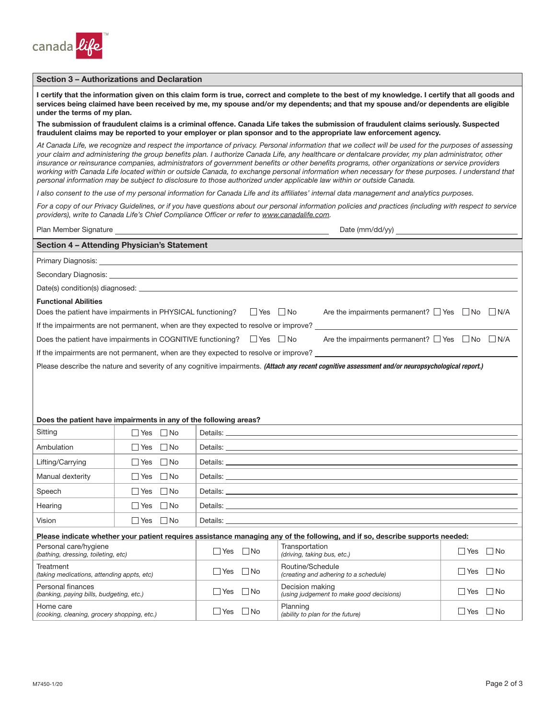

## Section 3 – Authorizations and Declaration

I certify that the information given on this claim form is true, correct and complete to the best of my knowledge. I certify that all goods and services being claimed have been received by me, my spouse and/or my dependents; and that my spouse and/or dependents are eligible under the terms of my plan.

The submission of fraudulent claims is a criminal offence. Canada Life takes the submission of fraudulent claims seriously. Suspected fraudulent claims may be reported to your employer or plan sponsor and to the appropriate law enforcement agency.

*At Canada Life, we recognize and respect the importance of privacy. Personal information that we collect will be used for the purposes of assessing your claim and administering the group benefits plan. I authorize Canada Life, any healthcare or dentalcare provider, my plan administrator, other insurance or reinsurance companies, administrators of government benefits or other benefits programs, other organizations or service providers*  working with Canada Life located within or outside Canada, to exchange personal information when necessary for these purposes. I understand that *personal information may be subject to disclosure to those authorized under applicable law within or outside Canada.*

*I also consent to the use of my personal information for Canada Life and its affiliates' internal data management and analytics purposes.*

*For a copy of our Privacy Guidelines, or if you have questions about our personal information policies and practices (including with respect to service providers), write to Canada Life's Chief Compliance Officer or refer to [www.canadalife.com.](http://www.canadalife.com)* 

|                                                                                                                              | Section 4 - Attending Physician's Statement                                                                                                                                                                                   |            |           |                | <u> 1989 - Jan Samuel Barbara, marka a shekara ta 1989 - An tsara tsara tsara tsara tsara tsara tsara tsara tsar</u>                             |      |           |
|------------------------------------------------------------------------------------------------------------------------------|-------------------------------------------------------------------------------------------------------------------------------------------------------------------------------------------------------------------------------|------------|-----------|----------------|--------------------------------------------------------------------------------------------------------------------------------------------------|------|-----------|
|                                                                                                                              |                                                                                                                                                                                                                               |            |           |                |                                                                                                                                                  |      |           |
|                                                                                                                              | Secondary Diagnosis: Note of the Communication of the Communication of the Communication of the Communication of the Communication of the Communication of the Communication of the Communication of the Communication of the |            |           |                |                                                                                                                                                  |      |           |
|                                                                                                                              |                                                                                                                                                                                                                               |            |           |                |                                                                                                                                                  |      |           |
| <b>Functional Abilities</b>                                                                                                  |                                                                                                                                                                                                                               |            |           |                |                                                                                                                                                  |      |           |
|                                                                                                                              | Does the patient have impairments in PHYSICAL functioning? $\Box$ Yes $\Box$ No                                                                                                                                               |            |           |                | Are the impairments permanent? $\Box$ Yes $\Box$ No $\Box$ N/A                                                                                   |      |           |
|                                                                                                                              |                                                                                                                                                                                                                               |            |           |                | If the impairments are not permanent, when are they expected to resolve or improve?                                                              |      |           |
|                                                                                                                              | Does the patient have impairments in COGNITIVE functioning? $\Box$ Yes $\Box$ No                                                                                                                                              |            |           |                | Are the impairments permanent? $\Box$ Yes $\Box$ No $\Box$ N/A                                                                                   |      |           |
|                                                                                                                              |                                                                                                                                                                                                                               |            |           |                |                                                                                                                                                  |      |           |
|                                                                                                                              |                                                                                                                                                                                                                               |            |           |                | Please describe the nature and severity of any cognitive impairments. (Attach any recent cognitive assessment and/or neuropsychological report.) |      |           |
|                                                                                                                              |                                                                                                                                                                                                                               |            |           |                |                                                                                                                                                  |      |           |
|                                                                                                                              |                                                                                                                                                                                                                               |            |           |                |                                                                                                                                                  |      |           |
|                                                                                                                              |                                                                                                                                                                                                                               |            |           |                |                                                                                                                                                  |      |           |
|                                                                                                                              | Does the patient have impairments in any of the following areas?                                                                                                                                                              |            |           |                |                                                                                                                                                  |      |           |
| Sitting                                                                                                                      | $\Box$ Yes $\Box$ No                                                                                                                                                                                                          |            |           |                |                                                                                                                                                  |      |           |
| Ambulation                                                                                                                   | $\Box$ Yes $\Box$ No                                                                                                                                                                                                          |            |           |                |                                                                                                                                                  |      |           |
| Lifting/Carrying                                                                                                             | $\Box$ Yes $\Box$ No                                                                                                                                                                                                          |            |           |                |                                                                                                                                                  |      |           |
| Manual dexterity                                                                                                             | $\Box$ Yes $\Box$ No                                                                                                                                                                                                          |            |           |                |                                                                                                                                                  |      |           |
| Speech                                                                                                                       | $\Box$ Yes $\Box$ No                                                                                                                                                                                                          |            |           |                |                                                                                                                                                  |      |           |
| Hearing                                                                                                                      | $\Box$ Yes $\Box$ No                                                                                                                                                                                                          |            |           |                |                                                                                                                                                  |      |           |
| Vision                                                                                                                       | $\Box$ Yes $\Box$ No                                                                                                                                                                                                          |            |           |                |                                                                                                                                                  |      |           |
| Please indicate whether your patient requires assistance managing any of the following, and if so, describe supports needed: |                                                                                                                                                                                                                               |            |           |                |                                                                                                                                                  |      |           |
| Personal care/hygiene<br>(hathing drassing toilating ato)                                                                    |                                                                                                                                                                                                                               | $\Box$ Yes | $\Box$ No | Transportation | (driving taking hus ato)                                                                                                                         | ∏Yes | $\Box$ No |

*(bathing, dressing, toileting, etc)*  $\Box$  Yes  $\Box$  No **Treatment** *(taking medications, attending appts, etc)* Yes No Personal finances *r* ersonar miances<br>*(banking, paying bills, budgeting, etc.)*  $□$  Yes  $□$  No Home care *(cooking, cleaning, grocery shopping, etc.)*  $□$  Yes  $□$  No *(driving, taking bus, etc.)*  $\Box$  Yes  $\Box$  No Routine/Schedule *creating and adhering to a schedule*)  $\Box$  Yes  $\Box$  No Decision making *(using judgement to make good decisions)*  $\Box$  Yes  $\Box$  No Planning *(ability to plan for the future)*  $\Box$  Yes  $\Box$  No